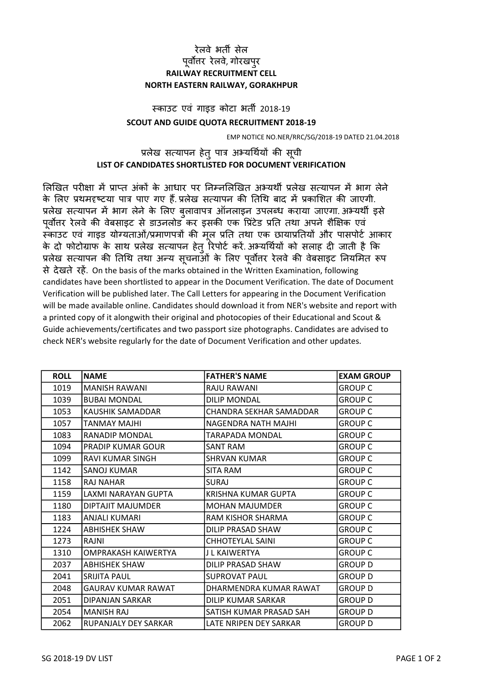## रेलवे भतȸ सेल पूर्वोत्तर रेलवे, गोरखपुर RAILWAY RECRUITMENT CELL NORTH EASTERN RAILWAY, GORAKHPUR

## SCOUT AND GUIDE QUOTA RECRUITMENT 2018-19 èकाउट एवं गाइड कोटा भतȸ 2018-19

EMP NOTICE NO.NER/RRC/SG/2018-19 DATED 21.04.2018

## प्रलेख सत्यापन हेतु पात्र अभ्यर्थियों की सूची LIST OF CANDIDATES SHORTLISTED FOR DOCUMENT VERIFICATION

लिखित परीक्षा में प्राप्त अंकों के आधार पर निम्नलिखित अभ्यर्थी प्रलेख सत्यापन में भाग लेने के लिए प्रथमदृष्टया पात्र पाए गए हैं. प्रलेख सत्यापन की तिथि बाद में प्रकाशित की जाएगी. प्रलेख सत्यापन में भाग लेने के लिए बलावापत्र ऑनलाइन उपलब्ध कराया जाएगा. अभ्यर्थी इसे पूर्वोत्तर रेलवे की वेबसाइट से डाउनलोड कर इसकी एक प्रिंटेड प्रति तथा अपने शैक्षिक एवं ्<br>स्काउट एवं गाइड योग्यताओं/प्रमाणपत्रों की मल प्रति तथा एक छायाप्रतियों और पासपोर्ट आकार के दो फोटोग्राफ के साथ प्रलेख सत्यापन हेतु रिपोर्ट करें. अभ्यर्थियों को सलाह दी जाती है कि प्रलेख सत्यापन की तिथि तथा अन्य सूचनाओं के लिए पूर्वोत्तर रेलवे की वेबसाइट नियमित रूप से देखते रहें. On the basis of the marks obtained in the Written Examination, following candidates have been shortlisted to appear in the Document Verification. The date of Document Verification will be published later. The Call Letters for appearing in the Document Verification will be made available online. Candidates should download it from NER's website and report with a printed copy of it alongwith their original and photocopies of their Educational and Scout & Guide achievements/certificates and two passport size photographs. Candidates are advised to check NER's website regularly for the date of Document Verification and other updates.

| <b>ROLL</b> | <b>NAME</b>             | <b>FATHER'S NAME</b>    | <b>EXAM GROUP</b> |
|-------------|-------------------------|-------------------------|-------------------|
| 1019        | <b>MANISH RAWANI</b>    | RAJU RAWANI             | <b>GROUP C</b>    |
| 1039        | <b>BUBAI MONDAL</b>     | <b>DILIP MONDAL</b>     | <b>GROUP C</b>    |
| 1053        | KAUSHIK SAMADDAR        | CHANDRA SEKHAR SAMADDAR | <b>GROUP C</b>    |
| 1057        | TANMAY MAJHI            | NAGENDRA NATH MAJHI     | <b>GROUP C</b>    |
| 1083        | RANADIP MONDAL          | TARAPADA MONDAL         | <b>GROUP C</b>    |
| 1094        | PRADIP KUMAR GOUR       | SANT RAM                | <b>GROUP C</b>    |
| 1099        | <b>RAVI KUMAR SINGH</b> | <b>SHRVAN KUMAR</b>     | <b>GROUP C</b>    |
| 1142        | SANOJ KUMAR             | <b>SITA RAM</b>         | <b>GROUP C</b>    |
| 1158        | <b>RAJ NAHAR</b>        | <b>SURAJ</b>            | <b>GROUP C</b>    |
| 1159        | LAXMI NARAYAN GUPTA     | KRISHNA KUMAR GUPTA     | <b>GROUP C</b>    |
| 1180        | DIPTAJIT MAJUMDER       | <b>MOHAN MAJUMDER</b>   | <b>GROUP C</b>    |
| 1183        | ANJALI KUMARI           | RAM KISHOR SHARMA       | <b>GROUP C</b>    |
| 1224        | ABHISHEK SHAW           | DILIP PRASAD SHAW       | <b>GROUP C</b>    |
| 1273        | RAJNI                   | <b>CHHOTEYLAL SAINI</b> | <b>GROUP C</b>    |
| 1310        | OMPRAKASH KAIWERTYA     | J L KAIWERTYA           | <b>GROUP C</b>    |
| 2037        | <b>ABHISHEK SHAW</b>    | DILIP PRASAD SHAW       | <b>GROUP D</b>    |
| 2041        | SRIJITA PAUL            | <b>SUPROVAT PAUL</b>    | <b>GROUP D</b>    |
| 2048        | GAURAV KUMAR RAWAT      | DHARMENDRA KUMAR RAWAT  | <b>GROUP D</b>    |
| 2051        | DIPANJAN SARKAR         | DILIP KUMAR SARKAR      | <b>GROUP D</b>    |
| 2054        | <b>MANISH RAJ</b>       | SATISH KUMAR PRASAD SAH | <b>GROUP D</b>    |
| 2062        | RUPANJALY DEY SARKAR    | LATE NRIPEN DEY SARKAR  | <b>GROUP D</b>    |